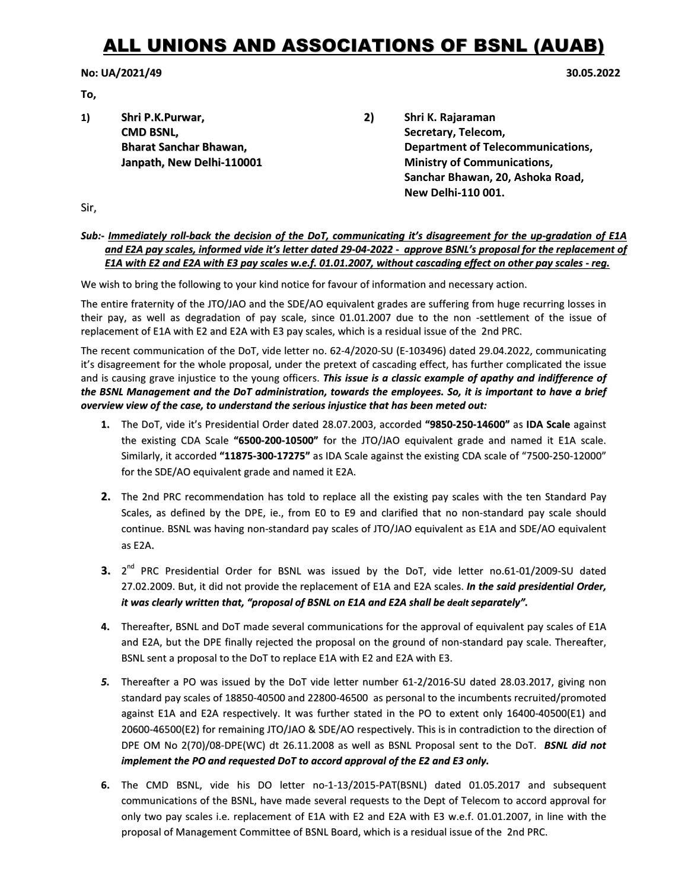## ALL UNIONS AND ASSOCIATIONS OF BSNL (AUAB)

## No: UA/2021/49 30.05.2022

To,

- 
- 1) Shri P.K.Purwar, 2) Shri K. Rajaraman **CMD BSNL, Secretary, Telecom, Secretary, Telecom, Secretary, Telecom, Secretary, Telecom, Secretary, Telecom, Secretary, Telecom, Secretary, Telecom, Secretary, Telecom, Secretary, Telecom, Secretary, Telecom, Secretary,** Bharat Sanchar Bhawan, The Communications, Englished Chemications, Department of Telecommunications, Janpath, New Delhi-110001 Ministry of Communications, Sanchar Bhawan, 20, Ashoka Road, New Delhi-110 001.

Sir,

## Sub:- Immediately roll-back the decision of the DoT, communicating it's disagreement for the up-gradation of E1A and E2A pay scales, informed vide it's letter dated 29-04-2022 - approve BSNL's proposal for the replacement of E1A with E2 and E2A with E3 pay scales w.e.f. 01.01.2007, without cascading effect on other pay scales - reg.

We wish to bring the following to your kind notice for favour of information and necessary action.

The entire fraternity of the JTO/JAO and the SDE/AO equivalent grades are suffering from huge recurring losses in their pay, as well as degradation of pay scale, since 01.01.2007 due to the non -settlement of the issue of replacement of E1A with E2 and E2A with E3 pay scales, which is a residual issue of the 2nd PRC.

The recent communication of the DoT, vide letter no. 62-4/2020-SU (E-103496) dated 29.04.2022, communicating it's disagreement for the whole proposal, under the pretext of cascading effect, has further complicated the issue and is causing grave injustice to the young officers. This issue is a classic example of apathy and indifference of the BSNL Management and the DoT administration, towards the employees. So, it is important to have a brief overview view of the case, to understand the serious injustice that has been meted out:

- 1. The DoT, vide it's Presidential Order dated 28.07.2003, accorded "9850-250-14600" as IDA Scale against the existing CDA Scale "6500-200-10500" for the JTO/JAO equivalent grade and named it E1A scale. Similarly, it accorded "11875-300-17275" as IDA Scale against the existing CDA scale of "7500-250-12000" for the SDE/AO equivalent grade and named it E2A.
- 2. The 2nd PRC recommendation has told to replace all the existing pay scales with the ten Standard Pay Scales, as defined by the DPE, ie., from E0 to E9 and clarified that no non-standard pay scale should continue. BSNL was having non-standard pay scales of JTO/JAO equivalent as E1A and SDE/AO equivalent as E2A.
- **3.** 2<sup>nd</sup> PRC Presidential Order for BSNL was issued by the DoT, vide letter no.61-01/2009-SU dated 27.02.2009. But, it did not provide the replacement of E1A and E2A scales. In the said presidential Order, it was clearly written that, "proposal of BSNL on E1A and E2A shall be dealt separately".
- 4. Thereafter, BSNL and DoT made several communications for the approval of equivalent pay scales of E1A and E2A, but the DPE finally rejected the proposal on the ground of non-standard pay scale. Thereafter, BSNL sent a proposal to the DoT to replace E1A with E2 and E2A with E3.
- 5. Thereafter a PO was issued by the DoT vide letter number 61-2/2016-SU dated 28.03.2017, giving non standard pay scales of 18850-40500 and 22800-46500 as personal to the incumbents recruited/promoted against E1A and E2A respectively. It was further stated in the PO to extent only 16400-40500(E1) and 20600-46500(E2) for remaining JTO/JAO & SDE/AO respectively. This is in contradiction to the direction of DPE OM No 2(70)/08-DPE(WC) dt 26.11.2008 as well as BSNL Proposal sent to the DoT. BSNL did not implement the PO and requested DoT to accord approval of the E2 and E3 only.
- 6. The CMD BSNL, vide his DO letter no-1-13/2015-PAT(BSNL) dated 01.05.2017 and subsequent communications of the BSNL, have made several requests to the Dept of Telecom to accord approval for only two pay scales i.e. replacement of E1A with E2 and E2A with E3 w.e.f. 01.01.2007, in line with the proposal of Management Committee of BSNL Board, which is a residual issue of the 2nd PRC.